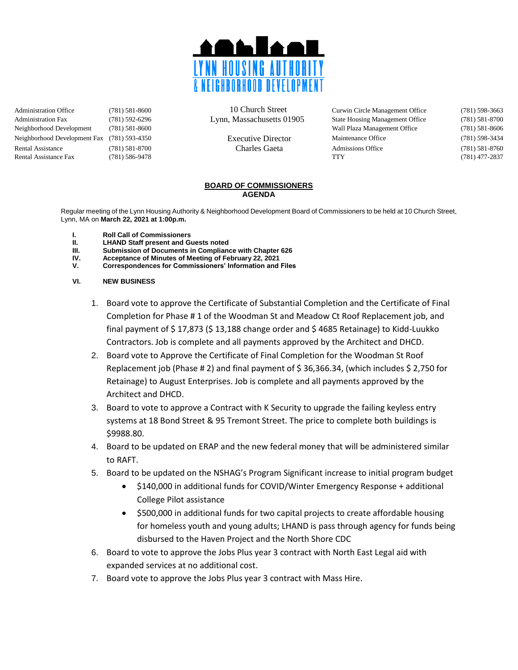

Administration Office (781) 581-8600 10 Church Street Curwin Circle Management Office (781) 598-3663 Administration Fax (781) 592-6296 Lynn, Massachusetts 01905 State Housing Management Office (781) 581-8700 Neighborhood Development (781) 581-8600 Wall Plaza Management Office (781) 581-8606 Neighborhood Development Fax (781) 593-4350 Executive Director Maintenance Office (781) 598-3434 Rental Assistance (781) 581-8700 Charles Gaeta Admissions Office (781) 581-8760 Rental Assistance Fax (781) 586-9478 TTY (781) 477-2837

## **BOARD OF COMMISSIONERS AGENDA**

Regular meeting of the Lynn Housing Authority & Neighborhood Development Board of Commissioners to be held at 10 Church Street, Lynn, MA on **March 22, 2021 at 1:00p.m.**

- **I. Roll Call of Commissioners**
- **II. LHAND Staff present and Guests noted**
- **Submission of Documents in Compliance with Chapter 626**
- **IV. Acceptance of Minutes of Meeting of February 22, 2021**
- **V. Correspondences for Commissioners' Information and Files**
- **VI. NEW BUSINESS**
	- 1. Board vote to approve the Certificate of Substantial Completion and the Certificate of Final Completion for Phase # 1 of the Woodman St and Meadow Ct Roof Replacement job, and final payment of \$ 17,873 (\$ 13,188 change order and \$ 4685 Retainage) to Kidd-Luukko Contractors. Job is complete and all payments approved by the Architect and DHCD.
	- 2. Board vote to Approve the Certificate of Final Completion for the Woodman St Roof Replacement job (Phase # 2) and final payment of \$ 36,366.34, (which includes \$ 2,750 for Retainage) to August Enterprises. Job is complete and all payments approved by the Architect and DHCD.
	- 3. Board to vote to approve a Contract with K Security to upgrade the failing keyless entry systems at 18 Bond Street & 95 Tremont Street. The price to complete both buildings is \$9988.80.
	- 4. Board to be updated on ERAP and the new federal money that will be administered similar to RAFT.
	- 5. Board to be updated on the NSHAG's Program Significant increase to initial program budget
		- \$140,000 in additional funds for COVID/Winter Emergency Response + additional College Pilot assistance
		- \$500,000 in additional funds for two capital projects to create affordable housing for homeless youth and young adults; LHAND is pass through agency for funds being disbursed to the Haven Project and the North Shore CDC
	- 6. Board to vote to approve the Jobs Plus year 3 contract with North East Legal aid with expanded services at no additional cost.
	- 7. Board vote to approve the Jobs Plus year 3 contract with Mass Hire.